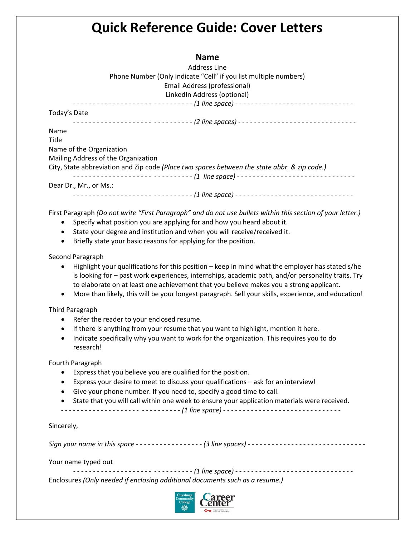## **Quick Reference Guide: Cover Letters**

## **Name**

Address Line Phone Number (Only indicate "Cell" if you list multiple numbers) Email Address (professional) LinkedIn Address (optional)

Today's Date

*- - - - - - - - - - - - - - - - - - - - - - - - - - - - - - (2 line spaces) - - - - - - - - - - - - - - - - - - - - - - - - - - - - - -*

*- - - - - - - - - - - - - - - - - - - - - - - - - - - - - - (1 line space) - - - - - - - - - - - - - - - - - - - - - - - - - - - - - -*

Name

Title Name of the Organization

Mailing Address of the Organization

City, State abbreviation and Zip code *(Place two spaces between the state abbr. & zip code.)*

*- - - - - - - - - - - - - - - - - - - - - - - - - - - - - - (1 line space) - - - - - - - - - - - - - - - - - - - - - - - - - - - - - -* Dear Dr., Mr., or Ms.:

------------------ ---------- (1 line space) -----------------------------------

First Paragraph *(Do not write "First Paragraph" and do not use bullets within this section of your letter.)*

- Specify what position you are applying for and how you heard about it.
- State your degree and institution and when you will receive/received it.
- Briefly state your basic reasons for applying for the position.

Second Paragraph

- Highlight your qualifications for this position keep in mind what the employer has stated s/he is looking for – past work experiences, internships, academic path, and/or personality traits. Try to elaborate on at least one achievement that you believe makes you a strong applicant.
- More than likely, this will be your longest paragraph. Sell your skills, experience, and education!

Third Paragraph

- Refer the reader to your enclosed resume.
- If there is anything from your resume that you want to highlight, mention it here.
- Indicate specifically why you want to work for the organization. This requires you to do research!

Fourth Paragraph

- Express that you believe you are qualified for the position.
- Express your desire to meet to discuss your qualifications ask for an interview!
- Give your phone number. If you need to, specify a good time to call.
- State that you will call within one week to ensure your application materials were received.

*- - - - - - - - - - - - - - - - - - - - - - - - - - - - - - (1 line space) - - - - - - - - - - - - - - - - - - - - - - - - - - - - - -*

Sincerely,

*Sign your name in this space* - *- - - - - - - - - - - - - - - - (3 line spaces) - - - - - - - - - - - - - - - - - - - - - - - - - - - - - -*

Your name typed out

------------------- ---------- (1 line space) --------------------------------

Enclosures *(Only needed if enclosing additional documents such as a resume.)*